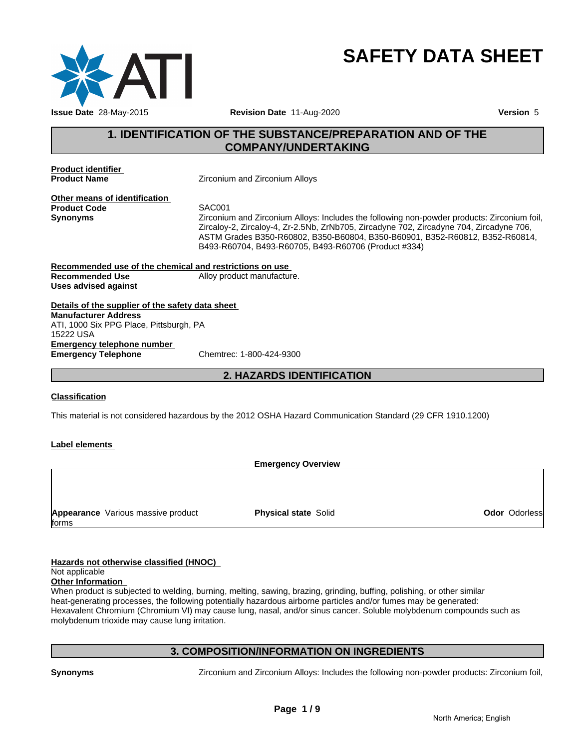

# **SAFETY DATA SHEET**

# **1. IDENTIFICATION OF THE SUBSTANCE/PREPARATION AND OF THE<br>
THE SUBSTANCE/PREPARATION AND OF THE<br>
The COMPANY/UNDERTAKING<br>
The COMPANY/UNDERTAKING COMPANY/UNDERTAKING**

**Product identifier** 

**Product Name Example 2 Zirconium** and Zirconium Alloys

**Other means of identification Product Code** 

**Synonyms** Zirconium and Zirconium Alloys: Includes the following non-powder products: Zirconium foil, Zircaloy-2, Zircaloy-4, Zr-2.5Nb, ZrNb705, Zircadyne 702, Zircadyne 704, Zircadyne 706, ASTM Grades B350-R60802, B350-B60804, B350-B60901, B352-R60812, B352-R60814, B493-R60704, B493-R60705, B493-R60706 (Product #334) ium and Zirconium Alloys: Includes the following non-powder products: Zircony-2, Zircaloy-4, Zr-2.5Nb, ZrNb705, Zircadyne 702, Zircadyne 704, Zircadyne Grades B350-R60802, B350-B60804, B350-B60901, B352-R60812, B352-R60802

**Recommended use of the chemical and restrictions on use Recommended Use** Alloy product manufacture. **Uses advised against**

**Details of the supplier of the safety data sheet Emergency telephone number Emergency Telephone** Chemtrec: 1-800-424-9300 **Manufacturer Address** ATI, 1000 Six PPG Place, Pittsburgh, PA 15222 USA

# **Classification**

This material is not considered hazardous by the 2012 OSHA Hazard Communication Standard (29 CFR 1910.1200)

# **Label elements**

**Emergency Overview**

**Appearance** Various massive product forms

**Physical state Solid Contract Contract Contract Contract Contract Contract Contract Contract Contract Contract Contract Contract Contract Contract Contract Contract Contract Contract Contract Contract Contract Contract Co** 

# **Hazards not otherwise classified (HNOC)**

#### Not applicable **Other Information**

When product is subjected to welding, burning, melting, sawing, brazing, grinding, buffing, polishing, or other similar heat-generating processes, the following potentially hazardous airborne particles and/or fumes may be generated: Hexavalent Chromium (Chromium VI) may cause lung, nasal, and/or sinus cancer. Soluble molybdenum compounds such as molybdenum trioxide may cause lung irritation. **3. COMPOSITION/INFORMATION ON INGREDIENTS**<br> **3. COMPOSITION/INFORMATION ON INGREDIENTS**<br> **3. COMPOSITION/INFORMATION ON INGREDIENTS**<br> **3. COMPOSITION/INFORMATION ON INGREDIENTS**<br> **3. COMPOSITION/INFORMATION ON INGREDIENTS** 

**Synonyms** Zirconium and Zirconium Alloys: Includes the following non-powder products: Zirconium foil,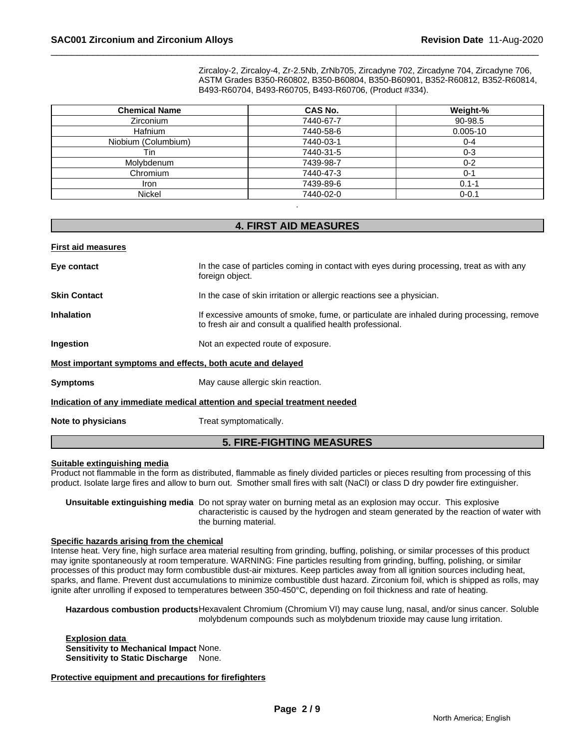| <b>Chemical Name</b> | CAS No.                      | Weight-%     |
|----------------------|------------------------------|--------------|
| Zirconium            | 7440-67-7                    | 90-98.5      |
| <b>Hafnium</b>       | 7440-58-6                    | $0.005 - 10$ |
| Niobium (Columbium)  | 7440-03-1                    | $0 - 4$      |
| Tin                  | 7440-31-5                    | $0 - 3$      |
| Molybdenum           | 7439-98-7                    | $0 - 2$      |
| Chromium             | 7440-47-3                    | $0 - 1$      |
| Iron                 | 7439-89-6                    | $0.1 - 1$    |
| <b>Nickel</b>        | 7440-02-0                    | $0 - 0.1$    |
|                      | <b>4. FIRST AID MEASURES</b> |              |

| <b>First aid measures</b> |                                                                                                                                                        |
|---------------------------|--------------------------------------------------------------------------------------------------------------------------------------------------------|
| Eye contact               | In the case of particles coming in contact with eyes during processing, treat as with any<br>foreign object.                                           |
| <b>Skin Contact</b>       | In the case of skin irritation or allergic reactions see a physician.                                                                                  |
| <b>Inhalation</b>         | If excessive amounts of smoke, fume, or particulate are inhaled during processing, remove<br>to fresh air and consult a qualified health professional. |
| Ingestion                 | Not an expected route of exposure.                                                                                                                     |
|                           | Most important symptoms and effects, both acute and delayed                                                                                            |
| <b>Symptoms</b>           | May cause allergic skin reaction.                                                                                                                      |
|                           | Indication of any immediate medical attention and special treatment needed                                                                             |
| Note to physicians        | Treat symptomatically.                                                                                                                                 |
|                           | <b>5. FIRE-FIGHTING MEASURES</b>                                                                                                                       |

#### **Suitable extinguishing media**

Product not flammable in the form as distributed, flammable as finely divided particles or pieces resulting from processing of this product. Isolate large fires and allow to burn out. Smother small fires with salt (NaCl) or class D dry powder fire extinguisher.

**Unsuitable extinguishing media** Do not spray water on burning metal as an explosion may occur. This explosive characteristic is caused by the hydrogen and steam generated by the reaction of water with the burning material.

#### **Specific hazards arising from the chemical**

Intense heat. Very fine, high surface area material resulting from grinding, buffing, polishing, or similar processes of this product may ignite spontaneously at room temperature. WARNING: Fine particles resulting from grinding, buffing, polishing, or similar processes of this product may form combustible dust-air mixtures. Keep particles away from all ignition sources including heat, sparks, and flame. Prevent dust accumulations to minimize combustible dust hazard. Zirconium foil, which is shipped as rolls, may ignite after unrolling if exposed to temperatures between 350-450°C, depending on foil thickness and rate of heating.

**Hazardous combustion products**Hexavalent Chromium (Chromium VI) may cause lung, nasal, and/or sinus cancer. Soluble molybdenum compounds such as molybdenum trioxide may cause lung irritation.

**Explosion data Sensitivity to Mechanical Impact** None. **Sensitivity to Static Discharge** None.

**Protective equipment and precautions for firefighters**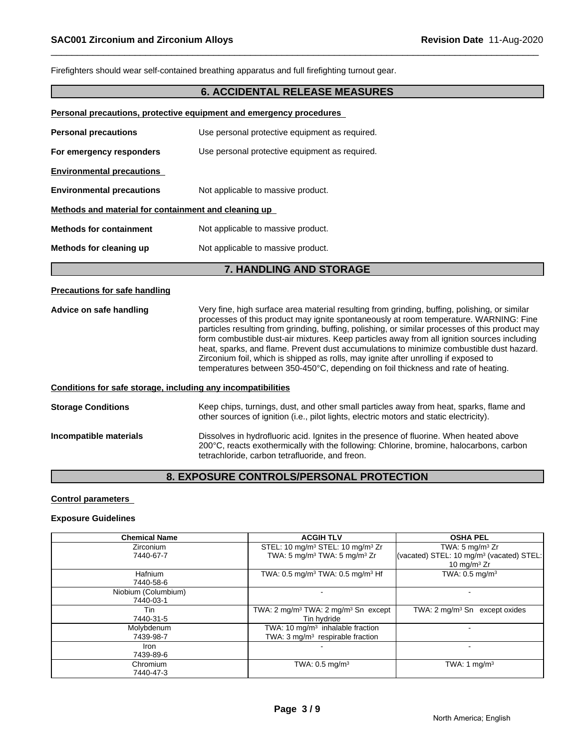# **Personal precautions, protective equipment and emergency procedures**

| <b>SAC001 Zirconium and Zirconium Alloys</b>         |                                                                                                 | Revision Date 11-Aug-2 |
|------------------------------------------------------|-------------------------------------------------------------------------------------------------|------------------------|
|                                                      | Firefighters should wear self-contained breathing apparatus and full firefighting turnout gear. |                        |
|                                                      | <b>6. ACCIDENTAL RELEASE MEASURES</b>                                                           |                        |
|                                                      | Personal precautions, protective equipment and emergency procedures                             |                        |
| <b>Personal precautions</b>                          | Use personal protective equipment as required.                                                  |                        |
| For emergency responders                             | Use personal protective equipment as required.                                                  |                        |
| <b>Environmental precautions</b>                     |                                                                                                 |                        |
| <b>Environmental precautions</b>                     | Not applicable to massive product.                                                              |                        |
| Methods and material for containment and cleaning up |                                                                                                 |                        |
| <b>Methods for containment</b>                       | Not applicable to massive product.                                                              |                        |
| Methods for cleaning up                              | Not applicable to massive product.                                                              |                        |
|                                                      | 7. HANDLING AND STORAGE                                                                         |                        |
| <b>Precautions for safe handling</b>                 |                                                                                                 |                        |
| Advice on safe handling                              | Very fine, high surface area material resulting from grinding, buffing, polishing, or simila    |                        |

#### **Precautions for safe handling**

**Advice on safe handling** Very fine, high surface area material resulting from grinding, buffing, polishing, or similar processes of this product may ignite spontaneously at room temperature. WARNING: Fine particles resulting from grinding, buffing, polishing, or similar processes of this product may form combustible dust-air mixtures. Keep particles away from all ignition sources including heat, sparks, and flame. Prevent dust accumulations to minimize combustible dust hazard. Zirconium foil, which is shipped as rolls, may ignite after unrolling if exposed to temperatures between 350-450°C, depending on foil thickness and rate of heating.

#### **Conditions for safe storage, including any incompatibilities**

**Storage Conditions** Keep chips, turnings, dust, and other small particles away from heat, sparks, flame and other sources of ignition (i.e., pilot lights, electric motors and static electricity). **Incompatible materials Dissolves in hydrofluoric acid. Ignites in the presence of fluorine. When heated above** 200°C, reacts exothermically with the following: Chlorine, bromine, halocarbons, carbon tetrachloride, carbon tetrafluoride, and freon. processes of this product may ignite spontaneously at room temperature. WARNING: Fine particles resulting from grinding, buffing, or is miral r processes of this product may form combustible dust-air mixtures. Keep particl

#### **Control parameters**

#### **Exposure Guidelines**

| <b>Chemical Name</b>             | <b>ACGIH TLV</b>                                                                          | <b>OSHA PEL</b>                                                        |
|----------------------------------|-------------------------------------------------------------------------------------------|------------------------------------------------------------------------|
| <b>Zirconium</b>                 | STEL: 10 mg/m <sup>3</sup> STEL: 10 mg/m <sup>3</sup> Zr                                  | TWA: $5 \text{ mg/m}^3$ Zr                                             |
| 7440-67-7                        | TWA: 5 mg/m <sup>3</sup> TWA: 5 mg/m <sup>3</sup> Zr                                      | (vacated) STEL: 10 mg/m <sup>3</sup> (vacated) STEL:<br>10 mg/m $3$ Zr |
| <b>Hafnium</b><br>7440-58-6      | TWA: $0.5$ mg/m <sup>3</sup> TWA: $0.5$ mg/m <sup>3</sup> Hf                              | TWA: $0.5$ mg/m <sup>3</sup>                                           |
| Niobium (Columbium)<br>7440-03-1 |                                                                                           |                                                                        |
| Tin                              | TWA: 2 mg/m <sup>3</sup> TWA: 2 mg/m <sup>3</sup> Sn except                               | TWA: $2 \text{ mg/m}^3$ Sn<br>except oxides                            |
| 7440-31-5                        | Tin hydride                                                                               |                                                                        |
| Molybdenum<br>7439-98-7          | TWA: $10 \text{ mg/m}^3$ inhalable fraction<br>TWA: $3 \text{mq/m}^3$ respirable fraction |                                                                        |
| Iron                             |                                                                                           |                                                                        |
| 7439-89-6                        |                                                                                           |                                                                        |
| Chromium<br>7440-47-3            | TWA: $0.5$ mg/m <sup>3</sup>                                                              | TWA: 1 $mq/m3$                                                         |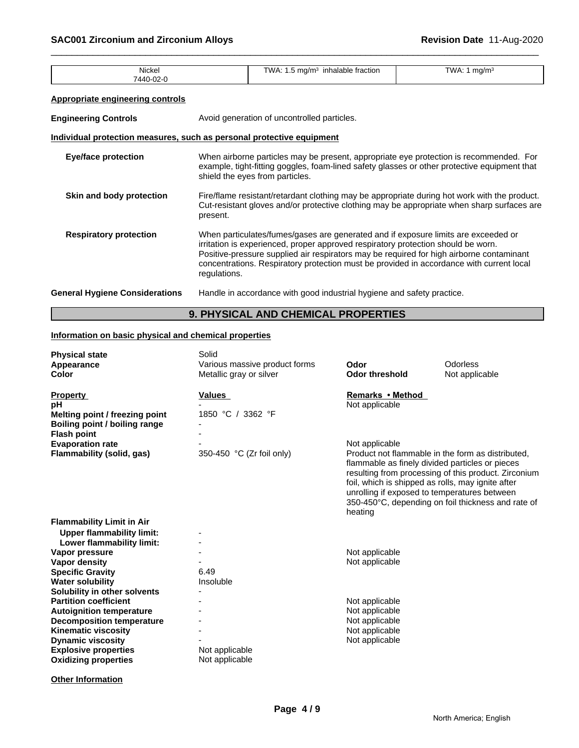| Nickel<br>7440-02-0                                                   | TWA: 1 mg/m <sup>3</sup><br>TWA: $1.5 \text{ mg/m}^3$ inhalable fraction                                                                                                                                                                                                                                                                                                        |                                                                        |  |  |  |
|-----------------------------------------------------------------------|---------------------------------------------------------------------------------------------------------------------------------------------------------------------------------------------------------------------------------------------------------------------------------------------------------------------------------------------------------------------------------|------------------------------------------------------------------------|--|--|--|
| <b>Appropriate engineering controls</b>                               |                                                                                                                                                                                                                                                                                                                                                                                 |                                                                        |  |  |  |
| <b>Engineering Controls</b>                                           |                                                                                                                                                                                                                                                                                                                                                                                 | Avoid generation of uncontrolled particles.                            |  |  |  |
| Individual protection measures, such as personal protective equipment |                                                                                                                                                                                                                                                                                                                                                                                 |                                                                        |  |  |  |
| <b>Eye/face protection</b>                                            | When airborne particles may be present, appropriate eye protection is recommended. For<br>example, tight-fitting goggles, foam-lined safety glasses or other protective equipment that<br>shield the eyes from particles.                                                                                                                                                       |                                                                        |  |  |  |
| Skin and body protection                                              | Fire/flame resistant/retardant clothing may be appropriate during hot work with the product.<br>Cut-resistant gloves and/or protective clothing may be appropriate when sharp surfaces are<br>present.                                                                                                                                                                          |                                                                        |  |  |  |
| <b>Respiratory protection</b>                                         | When particulates/fumes/gases are generated and if exposure limits are exceeded or<br>irritation is experienced, proper approved respiratory protection should be worn.<br>Positive-pressure supplied air respirators may be required for high airborne contaminant<br>concentrations. Respiratory protection must be provided in accordance with current local<br>regulations. |                                                                        |  |  |  |
| <b>General Hygiene Considerations</b>                                 |                                                                                                                                                                                                                                                                                                                                                                                 | Handle in accordance with good industrial hygiene and safety practice. |  |  |  |
|                                                                       |                                                                                                                                                                                                                                                                                                                                                                                 | 9. PHYSICAL AND CHEMICAL PROPERTIES                                    |  |  |  |
| Information on basic physical and chemical properties                 |                                                                                                                                                                                                                                                                                                                                                                                 |                                                                        |  |  |  |
| <b>Physical state</b>                                                 | Solid                                                                                                                                                                                                                                                                                                                                                                           |                                                                        |  |  |  |

# **Information on basic physical and chemical properties**

| <b>Physical state</b><br>Appearance<br><b>Color</b>                                                                                                                                                                         | Solid<br>Various massive product forms<br>Metallic gray or silver | Odor<br><b>Odor threshold</b>                                                                                                                                                                                                          | <b>Odorless</b><br>Not applicable                                                                          |
|-----------------------------------------------------------------------------------------------------------------------------------------------------------------------------------------------------------------------------|-------------------------------------------------------------------|----------------------------------------------------------------------------------------------------------------------------------------------------------------------------------------------------------------------------------------|------------------------------------------------------------------------------------------------------------|
| <b>Property</b><br>рH<br>Melting point / freezing point<br>Boiling point / boiling range<br><b>Flash point</b>                                                                                                              | <b>Values</b><br>1850 °C / 3362 °F                                | Remarks • Method<br>Not applicable                                                                                                                                                                                                     |                                                                                                            |
| <b>Evaporation rate</b><br>Flammability (solid, gas)                                                                                                                                                                        | 350-450 °C (Zr foil only)                                         | Not applicable<br>Product not flammable in the form as distributed.<br>flammable as finely divided particles or pieces<br>foil, which is shipped as rolls, may ignite after<br>unrolling if exposed to temperatures between<br>heating | resulting from processing of this product. Zirconium<br>350-450°C, depending on foil thickness and rate of |
| <b>Flammability Limit in Air</b><br><b>Upper flammability limit:</b><br>Lower flammability limit:<br>Vapor pressure<br>Vapor density<br><b>Specific Gravity</b><br><b>Water solubility</b><br>Solubility in other solvents  | 6.49<br>Insoluble                                                 | Not applicable<br>Not applicable                                                                                                                                                                                                       |                                                                                                            |
| <b>Partition coefficient</b><br><b>Autoignition temperature</b><br><b>Decomposition temperature</b><br><b>Kinematic viscosity</b><br><b>Dynamic viscosity</b><br><b>Explosive properties</b><br><b>Oxidizing properties</b> | Not applicable<br>Not applicable                                  | Not applicable<br>Not applicable<br>Not applicable<br>Not applicable<br>Not applicable                                                                                                                                                 |                                                                                                            |

**Other Information**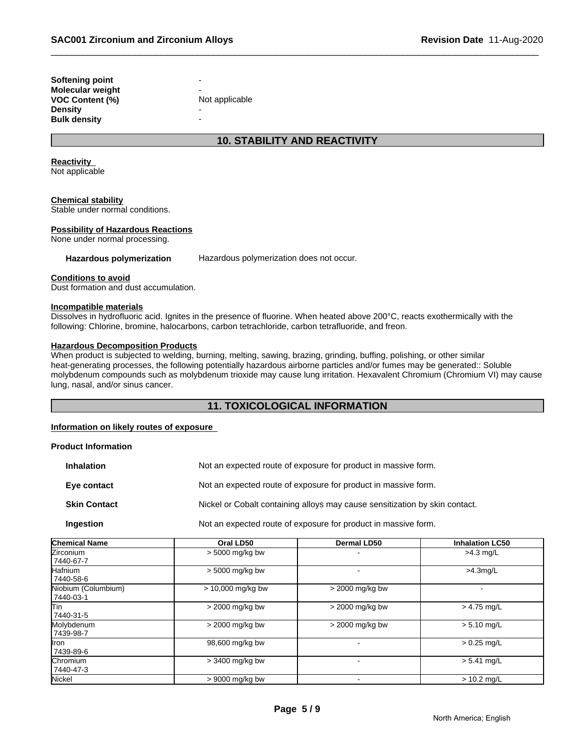| <b>SAC001 Zirconium and Zirconium Alloys</b> |                                     | <b>Revision Date 11-A</b> |
|----------------------------------------------|-------------------------------------|---------------------------|
| <b>Softening point</b>                       |                                     |                           |
| Molecular weight                             |                                     |                           |
| VOC Content (%)                              | Not applicable                      |                           |
| <b>Density</b>                               |                                     |                           |
| <b>Bulk density</b>                          |                                     |                           |
|                                              | <b>10. STABILITY AND REACTIVITY</b> |                           |

# Reactivity<br>Not applicable<br>Chemical stability

Stable under normal conditions.

#### **Possibility of Hazardous Reactions**

None under normal processing.

Hazardous polymerization Hazardous polymerization does not occur.

#### **Conditions to avoid**

Dust formation and dust accumulation.

#### **Incompatible materials**

Dissolves in hydrofluoric acid. Ignites in the presence of fluorine. When heated above 200°C, reacts exothermically with the following: Chlorine, bromine, halocarbons, carbon tetrachloride, carbon tetrafluoride, and freon.

#### **Hazardous Decomposition Products**

When product is subjected to welding, burning, melting, sawing, brazing, grinding, buffing, polishing, or other similar heat-generating processes, the following potentially hazardous airborne particles and/or fumes may be generated:: Soluble molybdenum compounds such as molybdenum trioxide may cause lung irritation. Hexavalent Chromium (Chromium VI) may cause lung, nasal, and/or sinus cancer. azardous polymerization does not occur.<br>
ie presence of fluorine. When heated above 200°C, reacts exothermically with the<br>
carbon tetrachloride, carbon tetrafluoride, and freon.<br>
Thing, melting, sawing, brazing, grinding,

# **Information on likely routes of exposure**

### **Product Information**

| <b>Inhalation</b>   | Not an expected route of exposure for product in massive form.              |
|---------------------|-----------------------------------------------------------------------------|
| Eye contact         | Not an expected route of exposure for product in massive form.              |
| <b>Skin Contact</b> | Nickel or Cobalt containing alloys may cause sensitization by skin contact. |
| <b>Ingestion</b>    | Not an expected route of exposure for product in massive form.              |

| <b>Chemical Name</b>             | Oral LD50           | Dermal LD50       | <b>Inhalation LC50</b> |
|----------------------------------|---------------------|-------------------|------------------------|
| <b>Zirconium</b><br>7440-67-7    | $> 5000$ mg/kg bw   |                   | $>4.3$ mg/L            |
| Hafnium<br>7440-58-6             | $> 5000$ mg/kg bw   |                   | $>4.3$ mg/L            |
| Niobium (Columbium)<br>7440-03-1 | $> 10,000$ mg/kg bw | > 2000 mg/kg bw   |                        |
| lTin<br>7440-31-5                | > 2000 mg/kg bw     | $>$ 2000 mg/kg bw | > 4.75 mg/L            |
| Molybdenum<br> 7439-98-7         | > 2000 mg/kg bw     | > 2000 mg/kg bw   | $> 5.10$ mg/L          |
| llron.<br>7439-89-6              | 98,600 mg/kg bw     |                   | $> 0.25$ mg/L          |
| <b>Chromium</b><br>17440-47-3    | > 3400 mg/kg bw     |                   | $> 5.41$ mg/L          |
| Nickel                           | $> 9000$ mg/kg bw   |                   | $> 10.2$ mg/L          |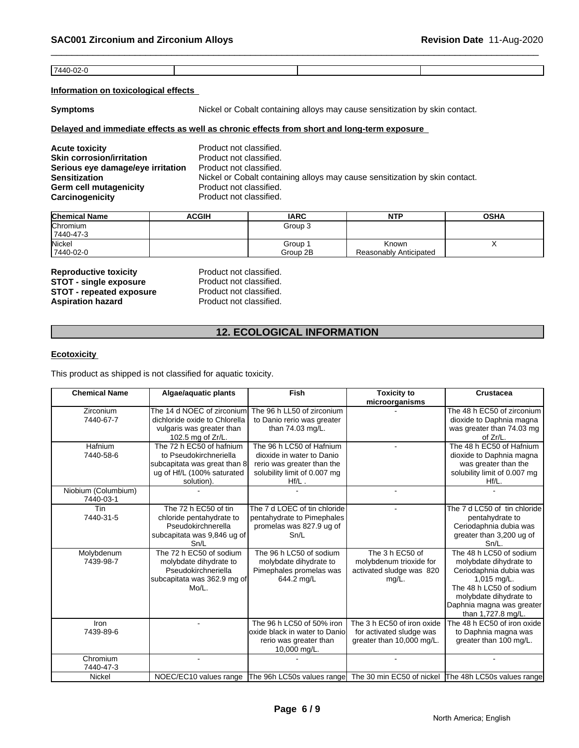7440-02-0

#### **Information on toxicological effects**

**Symptoms** Nickel or Cobalt containing alloys may cause sensitization by skin contact.

#### **Delayed and immediate effects as well as chronic effects from short and long-term exposure**

**Acute toxicity**<br> **Acute toxicity**<br> **Akin corrosion/irritation**<br> **Product not classified. Skin corrosion/irritation**<br>**Serious eve damage/eve irritation** Product not classified. **Serious eye damage/eye irritation<br>Sensitization** Nickel or Cobalt containing alloys may cause sensitization by skin contact.<br>Product not classified. **Germ cell mutagenicity Carcinogenicity Carcinogenicity Product not classified.** 

| Serious eye damage/eye irritation                              | FTUUUULTIUL GRASSIIIEU. |                                   |                                                                             |             |
|----------------------------------------------------------------|-------------------------|-----------------------------------|-----------------------------------------------------------------------------|-------------|
| <b>Sensitization</b>                                           |                         |                                   | Nickel or Cobalt containing alloys may cause sensitization by skin contact. |             |
| <b>Germ cell mutagenicity</b>                                  | Product not classified. |                                   |                                                                             |             |
| Carcinogenicity                                                | Product not classified. |                                   |                                                                             |             |
| <b>Chemical Name</b>                                           | <b>ACGIH</b>            | <b>IARC</b>                       | <b>NTP</b>                                                                  | <b>OSHA</b> |
| lChromium<br>7440-47-3                                         |                         | Group 3                           |                                                                             |             |
| Nickel<br>7440-02-0                                            |                         | Group 1<br>Group 2B               | Known<br>Reasonably Anticipated                                             | X           |
| <b>Reproductive toxicity</b>                                   | Product not classified. |                                   |                                                                             |             |
| <b>STOT - single exposure</b>                                  | Product not classified. |                                   |                                                                             |             |
| <b>STOT - repeated exposure</b>                                | Product not classified. |                                   |                                                                             |             |
| <b>Aspiration hazard</b>                                       | Product not classified. |                                   |                                                                             |             |
|                                                                |                         | <b>12. ECOLOGICAL INFORMATION</b> |                                                                             |             |
|                                                                |                         |                                   |                                                                             |             |
| <b>Ecotoxicity</b>                                             |                         |                                   |                                                                             |             |
| This product as shipped is not classified for aquatic toxicity |                         |                                   |                                                                             |             |

#### **Ecotoxicity**

| <b>STOT - single exposure</b><br><b>STOT - repeated exposure</b><br><b>Aspiration hazard</b> | Product not classified.<br>Product not classified.<br>Product not classified.                                                  |                                                                                                                                 |                                                                                     |                                                                                                                                                                                                    |  |
|----------------------------------------------------------------------------------------------|--------------------------------------------------------------------------------------------------------------------------------|---------------------------------------------------------------------------------------------------------------------------------|-------------------------------------------------------------------------------------|----------------------------------------------------------------------------------------------------------------------------------------------------------------------------------------------------|--|
| <b>12. ECOLOGICAL INFORMATION</b>                                                            |                                                                                                                                |                                                                                                                                 |                                                                                     |                                                                                                                                                                                                    |  |
| <b>Ecotoxicity</b>                                                                           |                                                                                                                                |                                                                                                                                 |                                                                                     |                                                                                                                                                                                                    |  |
|                                                                                              | This product as shipped is not classified for aquatic toxicity.                                                                |                                                                                                                                 |                                                                                     |                                                                                                                                                                                                    |  |
| <b>Chemical Name</b>                                                                         | Algae/aquatic plants                                                                                                           | <b>Fish</b>                                                                                                                     | <b>Toxicity to</b><br>microorganisms                                                | <b>Crustacea</b>                                                                                                                                                                                   |  |
| Zirconium<br>7440-67-7                                                                       | The 14 d NOEC of zirconium<br>dichloride oxide to Chlorella<br>vulgaris was greater than<br>102.5 mg of Zr/L.                  | The 96 h LL50 of zirconium<br>to Danio rerio was greater<br>than 74.03 mg/L.                                                    |                                                                                     | The 48 h EC50 of zirconium<br>dioxide to Daphnia magna<br>was greater than 74.03 mg<br>of Zr/L.                                                                                                    |  |
| Hafnium<br>7440-58-6                                                                         | The 72 h EC50 of hafnium<br>to Pseudokirchneriella<br>subcapitata was great than 8<br>ug of Hf/L (100% saturated<br>solution). | The 96 h LC50 of Hafnium<br>dioxide in water to Danio<br>rerio was greater than the<br>solubility limit of 0.007 mg<br>$Hf/L$ . |                                                                                     | The 48 h EC50 of Hafnium<br>dioxide to Daphnia magna<br>was greater than the<br>solubility limit of 0.007 mg<br>$Hf/L$ .                                                                           |  |
| Niobium (Columbium)<br>7440-03-1                                                             |                                                                                                                                |                                                                                                                                 | $\blacksquare$                                                                      |                                                                                                                                                                                                    |  |
| Tin<br>7440-31-5                                                                             | The 72 h EC50 of tin<br>chloride pentahydrate to<br>Pseudokirchnerella<br>subcapitata was 9,846 ug of<br>Sn/L                  | The 7 d LOEC of tin chloride<br>pentahydrate to Pimephales<br>promelas was 827.9 ug of<br>Sn/L                                  |                                                                                     | The 7 d LC50 of tin chloride<br>pentahydrate to<br>Ceriodaphnia dubia was<br>greater than 3,200 ug of<br>$Sn/L$ .                                                                                  |  |
| Molybdenum<br>7439-98-7                                                                      | The 72 h EC50 of sodium<br>molybdate dihydrate to<br>Pseudokirchneriella<br>subcapitata was 362.9 mg of<br>Mo/L.               | The 96 h LC50 of sodium<br>molybdate dihydrate to<br>Pimephales promelas was<br>644.2 mg/L                                      | The 3 h EC50 of<br>molybdenum trioxide for<br>activated sludge was 820<br>$mg/L$ .  | The 48 h LC50 of sodium<br>molybdate dihydrate to<br>Ceriodaphnia dubia was<br>1,015 mg/L.<br>The 48 h LC50 of sodium<br>molybdate dihydrate to<br>Daphnia magna was greater<br>than 1,727.8 mg/L. |  |
| Iron<br>7439-89-6                                                                            | ÷.                                                                                                                             | The 96 h LC50 of 50% iron<br>oxide black in water to Danio<br>rerio was greater than<br>10,000 mg/L.                            | The 3 h EC50 of iron oxide<br>for activated sludge was<br>greater than 10,000 mg/L. | The 48 h EC50 of iron oxide<br>to Daphnia magna was<br>greater than 100 mg/L.                                                                                                                      |  |
| Chromium<br>7440-47-3                                                                        |                                                                                                                                |                                                                                                                                 | $\sim$                                                                              |                                                                                                                                                                                                    |  |
| Nickel                                                                                       |                                                                                                                                | NOEC/EC10 values range The 96h LC50s values range The 30 min EC50 of nickel The 48h LC50s values range                          |                                                                                     |                                                                                                                                                                                                    |  |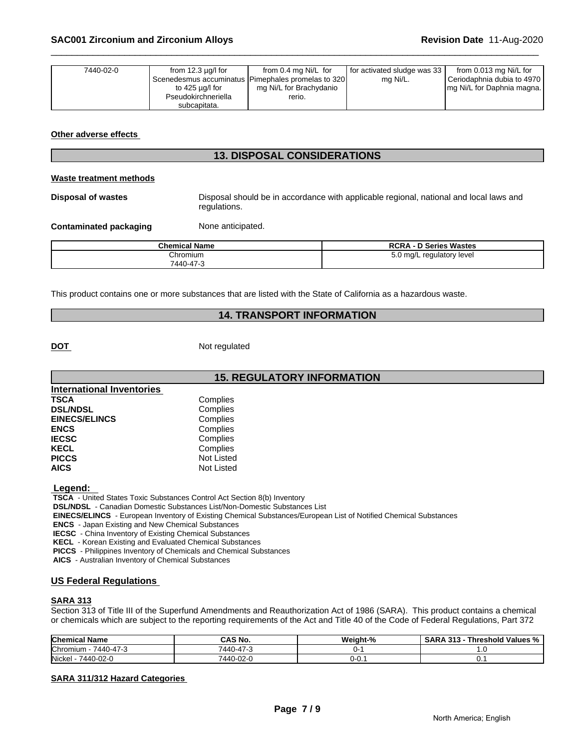| <b>SAC001 Zirconium and Zirconium Alloys</b> |                                                                                        |                                                                                                                   |                                         | Revision Date 11-Aug-2020                                                          |
|----------------------------------------------|----------------------------------------------------------------------------------------|-------------------------------------------------------------------------------------------------------------------|-----------------------------------------|------------------------------------------------------------------------------------|
| 7440-02-0                                    | from $12.3 \mu g/l$ for<br>to 425 $\mu$ g/l for<br>Pseudokirchneriella<br>subcapitata. | from 0.4 mg Ni/L for<br>Scenedesmus accuminatus   Pimephales promelas to 320<br>mg Ni/L for Brachydanio<br>rerio. | for activated sludge was 33<br>mg Ni/L. | from 0.013 mg Ni/L for<br>Ceriodaphnia dubia to 4970<br>mg Ni/L for Daphnia magna. |
| Other adverse effects                        |                                                                                        | <b>13. DISPOSAL CONSIDERATIONS</b>                                                                                |                                         |                                                                                    |
| <b>Waste treatment methods</b>               |                                                                                        |                                                                                                                   |                                         |                                                                                    |
| Dienneal of wastes                           |                                                                                        | Disposal should be in accordance with applicable regional national and local laws and                             |                                         |                                                                                    |

|                                | <b>13. DISPOSAL CONSIDERATIONS</b> |                                                                                                                 |
|--------------------------------|------------------------------------|-----------------------------------------------------------------------------------------------------------------|
| <b>Waste treatment methods</b> |                                    |                                                                                                                 |
| <b>Disposal of wastes</b>      | regulations.                       | Disposal should be in accordance with applicable regional, national and local laws and                          |
| <b>Contaminated packaging</b>  | None anticipated.                  |                                                                                                                 |
|                                | <b>Chemical Name</b>               | <b>RCRA - D Series Wastes</b>                                                                                   |
| Chromium<br>7440-47-3          |                                    | 5.0 mg/L regulatory level                                                                                       |
|                                |                                    | This product contains one or more substances that are listed with the State of California as a hazardous waste. |
|                                | <b>14. TRANSPORT INFORMATION</b>   |                                                                                                                 |
|                                |                                    |                                                                                                                 |
| <b>DOT</b>                     | Not regulated                      |                                                                                                                 |

| <b>Contaminated packaging</b>                                                                                                       | None anticipated.                                                                                       |                                                                                                                 |
|-------------------------------------------------------------------------------------------------------------------------------------|---------------------------------------------------------------------------------------------------------|-----------------------------------------------------------------------------------------------------------------|
|                                                                                                                                     | <b>Chemical Name</b>                                                                                    | <b>RCRA - D Series Wastes</b>                                                                                   |
|                                                                                                                                     | Chromium<br>7440-47-3                                                                                   | 5.0 mg/L regulatory level                                                                                       |
|                                                                                                                                     |                                                                                                         | This product contains one or more substances that are listed with the State of California as a hazardous waste. |
|                                                                                                                                     | <b>14. TRANSPORT INFORMATION</b>                                                                        |                                                                                                                 |
| DOT                                                                                                                                 | Not regulated                                                                                           |                                                                                                                 |
|                                                                                                                                     | <b>15. REGULATORY INFORMATION</b>                                                                       |                                                                                                                 |
| <b>International Inventories</b>                                                                                                    |                                                                                                         |                                                                                                                 |
| <b>TSCA</b><br><b>DSL/NDSL</b><br><b>EINECS/ELINCS</b><br><b>ENCS</b><br><b>IECSC</b><br><b>KECL</b><br><b>PICCS</b><br><b>AICS</b> | Complies<br>Complies<br>Complies<br>Complies<br>Complies<br>Complies<br><b>Not Listed</b><br>Not Listed |                                                                                                                 |

 **Legend:** 

 **TSCA** - United States Toxic Substances Control Act Section 8(b) Inventory

 **DSL/NDSL** - Canadian Domestic Substances List/Non-Domestic Substances List

 **EINECS/ELINCS** - European Inventory of Existing Chemical Substances/European List of Notified Chemical Substances

 **ENCS** - Japan Existing and New Chemical Substances

 **IECSC** - China Inventory of Existing Chemical Substances

 **KECL** - Korean Existing and Evaluated Chemical Substances

 **PICCS** - Philippines Inventory of Chemicals and Chemical Substances

 **AICS** - Australian Inventory of Chemical Substances

# **US Federal Regulations**

#### **SARA 313**

Section 313 of Title III of the Superfund Amendments and Reauthorization Act of 1986 (SARA). This product contains a chemical or chemicals which are subject to the reporting requirements of the Act and Title 40 of the Code of Federal Regulations, Part 372

| <b>Chemical Name</b>                  | <b>CAS No.</b>                          | <b>Weight-</b> %<br>$\mathbf{A}$ | 242<br>` Values %<br>hreshold<br>$\mathbf{r}$<br>. .<br>. |
|---------------------------------------|-----------------------------------------|----------------------------------|-----------------------------------------------------------|
| <b>Chromium</b><br>$\sim$<br>7440-47- | $\rightarrow$<br>$\Delta$<br>--4<br>. . |                                  | .                                                         |
| Nickel<br>$\sim$<br>7440<br>7-02-C    | 7440-02-0                               | U-U.                             |                                                           |

#### **SARA 311/312 Hazard Categories**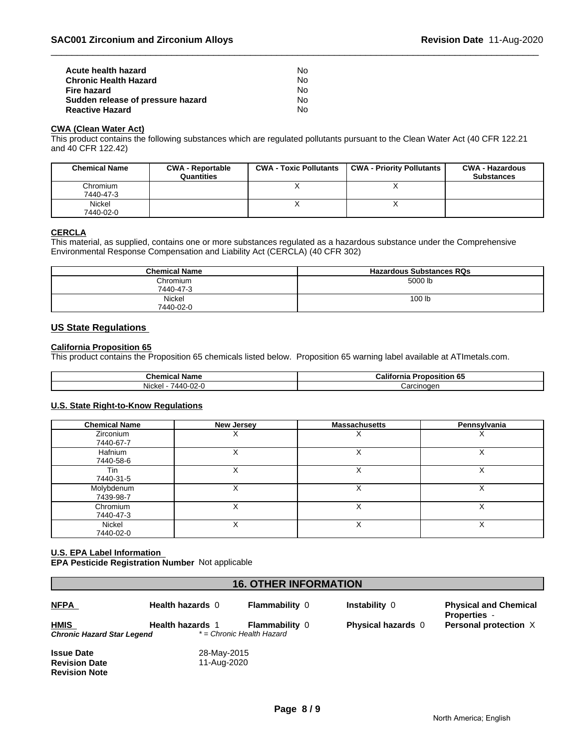| Acute health hazard               | No. |  |
|-----------------------------------|-----|--|
| <b>Chronic Health Hazard</b>      | No. |  |
| Fire hazard                       | N٥  |  |
| Sudden release of pressure hazard | N٥  |  |
| <b>Reactive Hazard</b>            | N٥  |  |

#### **CWA (Clean Water Act)**

This product contains the following substances which are regulated pollutants pursuant to the Clean Water Act (40 CFR 122.21 and 40 CFR 122.42)

| <b>Chemical Name</b>  | <b>CWA - Reportable</b><br>Quantities | <b>CWA - Toxic Pollutants</b> | <b>CWA - Priority Pollutants</b> | <b>CWA - Hazardous</b><br><b>Substances</b> |
|-----------------------|---------------------------------------|-------------------------------|----------------------------------|---------------------------------------------|
| Chromium<br>7440-47-3 |                                       |                               |                                  |                                             |
| Nickel<br>7440-02-0   |                                       |                               |                                  |                                             |

#### **CERCLA**

This material, as supplied, contains one or more substances regulated as a hazardous substance under the Comprehensive Environmental Response Compensation and Liability Act (CERCLA) (40 CFR 302)

| <b>Chemical Name</b>       | <b>Hazardous Substances RQs</b> |
|----------------------------|---------------------------------|
| Chromium<br>7440-47-3      | 5000 lb                         |
| <b>Nickel</b><br>7440-02-0 | 100 lb                          |

# **US State Regulations**

# **California Proposition 65**

This product contains the Proposition 65 chemicals listed below. Proposition 65 warning label available at ATImetals.com.

| Chemical<br>Name                                          | شاalif<br>--------<br>osition 65<br>mı<br>тои |
|-----------------------------------------------------------|-----------------------------------------------|
| .<br>$\sim$<br>Nickel<br>$\Delta A$<br>-02-1<br><u>ти</u> | ∶arcınoɑen<br>$\overline{a}$                  |

# **U.S. State Right-to-Know Regulations**

| <b>Chemical Name</b>    | <b>New Jersey</b> | <b>Massachusetts</b> | Pennsylvania |
|-------------------------|-------------------|----------------------|--------------|
| Zirconium<br>7440-67-7  |                   | ́                    | v            |
| Hafnium<br>7440-58-6    |                   |                      | ∧            |
| Tin<br>7440-31-5        |                   |                      | ∧            |
| Molybdenum<br>7439-98-7 | v                 | v                    | Х            |
| Chromium<br>7440-47-3   |                   |                      |              |
| Nickel<br>7440-02-0     |                   | ́                    | ⋏            |

#### **U.S. EPA Label Information**

**EPA Pesticide Registration Number** Not applicable

| <b>16. OTHER INFORMATION</b>                                      |                            |                                                    |                           |                                                     |
|-------------------------------------------------------------------|----------------------------|----------------------------------------------------|---------------------------|-----------------------------------------------------|
| <b>NFPA</b>                                                       | Health hazards 0           | <b>Flammability 0</b>                              | Instability 0             | <b>Physical and Chemical</b><br><b>Properties -</b> |
| <b>HMIS</b><br>Chronic Hazard Star Legend                         | <b>Health hazards 1</b>    | <b>Flammability 0</b><br>* = Chronic Health Hazard | <b>Physical hazards</b> 0 | Personal protection X                               |
| <b>Issue Date</b><br><b>Revision Date</b><br><b>Revision Note</b> | 28-May-2015<br>11-Aug-2020 |                                                    |                           |                                                     |